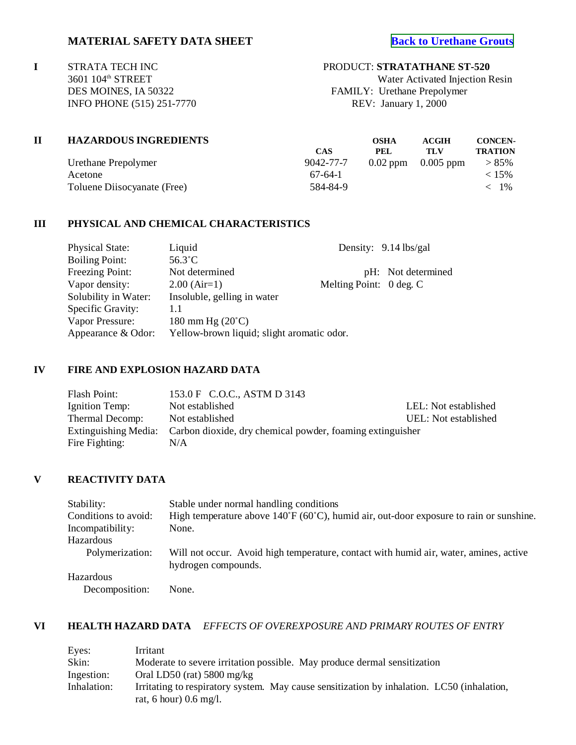**I** STRATA TECH INC PRODUCT: **STRATATHANE ST-520**<br>3601 104<sup>th</sup> STREET Water Activated Injection F INFO PHONE (515) 251-7770 REV: January 1, 2000

Water Activated Injection Resin DES MOINES, IA 50322 FAMILY: Urethane Prepolymer

| <b>HAZARDOUS INGREDIENTS</b> |            | OSHA       | ACGIH                  | <b>CONCEN-</b> |
|------------------------------|------------|------------|------------------------|----------------|
|                              | <b>CAS</b> | <b>PEL</b> | TLV                    | <b>TRATION</b> |
| Urethane Prepolymer          | 9042-77-7  |            | $0.02$ ppm $0.005$ ppm | $> 85\%$       |
| Acetone                      | $67-64-1$  |            |                        | $< 15\%$       |
| Toluene Diisocyanate (Free)  | 584-84-9   |            |                        | $<$ 1%         |

## **III PHYSICAL AND CHEMICAL CHARACTERISTICS**

| Liquid                      |                         | Density: 9.14 lbs/gal                      |
|-----------------------------|-------------------------|--------------------------------------------|
| $56.3^{\circ}$ C            |                         |                                            |
| Not determined              |                         | pH: Not determined                         |
| $2.00$ (Air=1)              | Melting Point: 0 deg. C |                                            |
| Insoluble, gelling in water |                         |                                            |
| 1.1                         |                         |                                            |
| 180 mm Hg $(20^{\circ}C)$   |                         |                                            |
|                             |                         |                                            |
|                             |                         | Yellow-brown liquid; slight aromatic odor. |

## **IV FIRE AND EXPLOSION HAZARD DATA**

| Flash Point:    | 153.0 F C.O.C., ASTM D 3143                                                    |                      |
|-----------------|--------------------------------------------------------------------------------|----------------------|
| Ignition Temp:  | Not established                                                                | LEL: Not established |
| Thermal Decomp: | Not established                                                                | UEL: Not established |
|                 | Extinguishing Media: Carbon dioxide, dry chemical powder, foaming extinguisher |                      |
| Fire Fighting:  | N/A                                                                            |                      |

### **V REACTIVITY DATA**

| Stability:           | Stable under normal handling conditions                                                                      |
|----------------------|--------------------------------------------------------------------------------------------------------------|
| Conditions to avoid: | High temperature above $140^{\circ}F(60^{\circ}C)$ , humid air, out-door exposure to rain or sunshine.       |
| Incompatibility:     | None.                                                                                                        |
| Hazardous            |                                                                                                              |
| Polymerization:      | Will not occur. Avoid high temperature, contact with humid air, water, amines, active<br>hydrogen compounds. |
| Hazardous            |                                                                                                              |
| Decomposition:       | None.                                                                                                        |

## **VI HEALTH HAZARD DATA** *EFFECTS OF OVEREXPOSURE AND PRIMARY ROUTES OF ENTRY*

| Eyes:       | Irritant                                                                                   |
|-------------|--------------------------------------------------------------------------------------------|
| Skin:       | Moderate to severe irritation possible. May produce dermal sensitization                   |
| Ingestion:  | Oral LD50 (rat) $5800 \text{ mg/kg}$                                                       |
| Inhalation: | Irritating to respiratory system. May cause sensitization by inhalation. LC50 (inhalation, |
|             | rat, 6 hour) $0.6 \text{ mg/l}$ .                                                          |